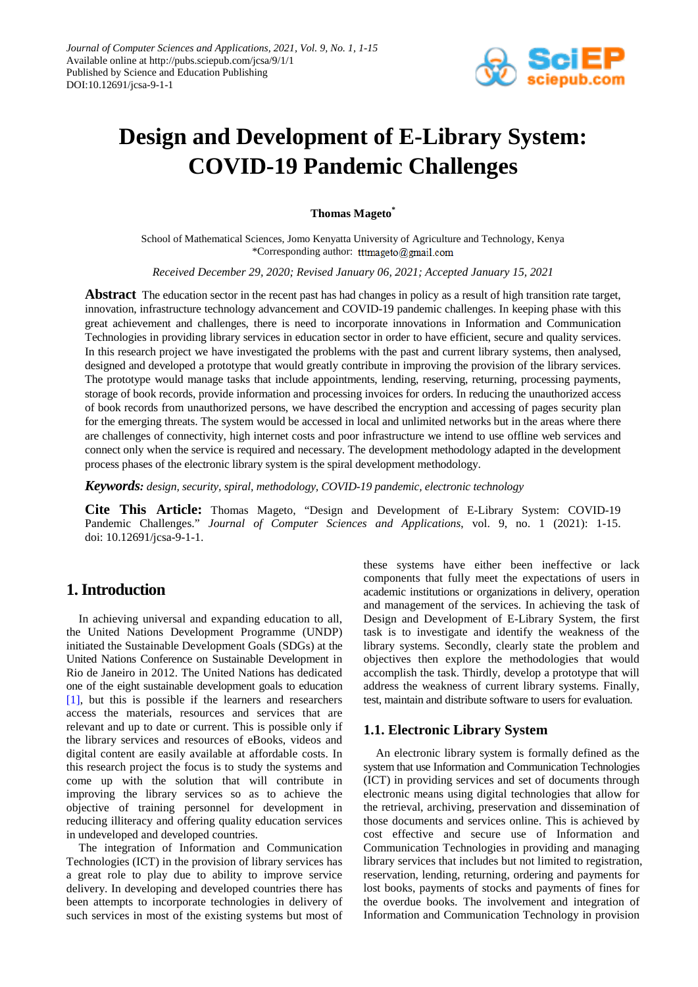

# **Design and Development of E-Library System: COVID-19 Pandemic Challenges**

**Thomas Mageto\***

School of Mathematical Sciences, Jomo Kenyatta University of Agriculture and Technology, Kenya \*Corresponding author: tttmageto@gmail.com

*Received December 29, 2020; Revised January 06, 2021; Accepted January 15, 2021*

**Abstract** The education sector in the recent past has had changes in policy as a result of high transition rate target, innovation, infrastructure technology advancement and COVID-19 pandemic challenges. In keeping phase with this great achievement and challenges, there is need to incorporate innovations in Information and Communication Technologies in providing library services in education sector in order to have efficient, secure and quality services. In this research project we have investigated the problems with the past and current library systems, then analysed, designed and developed a prototype that would greatly contribute in improving the provision of the library services. The prototype would manage tasks that include appointments, lending, reserving, returning, processing payments, storage of book records, provide information and processing invoices for orders. In reducing the unauthorized access of book records from unauthorized persons, we have described the encryption and accessing of pages security plan for the emerging threats. The system would be accessed in local and unlimited networks but in the areas where there are challenges of connectivity, high internet costs and poor infrastructure we intend to use offline web services and connect only when the service is required and necessary. The development methodology adapted in the development process phases of the electronic library system is the spiral development methodology.

*Keywords: design, security, spiral, methodology, COVID-19 pandemic, electronic technology*

**Cite This Article:** Thomas Mageto, "Design and Development of E-Library System: COVID-19 Pandemic Challenges." *Journal of Computer Sciences and Applications*, vol. 9, no. 1 (2021): 1-15. doi: 10.12691/jcsa-9-1-1.

# **1. Introduction**

In achieving universal and expanding education to all, the United Nations Development Programme (UNDP) initiated the Sustainable Development Goals (SDGs) at the United Nations Conference on Sustainable Development in Rio de Janeiro in 2012. The United Nations has dedicated one of the eight sustainable development goals to education [\[1\],](#page-14-0) but this is possible if the learners and researchers access the materials, resources and services that are relevant and up to date or current. This is possible only if the library services and resources of eBooks, videos and digital content are easily available at affordable costs. In this research project the focus is to study the systems and come up with the solution that will contribute in improving the library services so as to achieve the objective of training personnel for development in reducing illiteracy and offering quality education services in undeveloped and developed countries.

The integration of Information and Communication Technologies (ICT) in the provision of library services has a great role to play due to ability to improve service delivery. In developing and developed countries there has been attempts to incorporate technologies in delivery of such services in most of the existing systems but most of these systems have either been ineffective or lack components that fully meet the expectations of users in academic institutions or organizations in delivery, operation and management of the services. In achieving the task of Design and Development of E-Library System, the first task is to investigate and identify the weakness of the library systems. Secondly, clearly state the problem and objectives then explore the methodologies that would accomplish the task. Thirdly, develop a prototype that will address the weakness of current library systems. Finally, test, maintain and distribute software to users for evaluation.

## **1.1. Electronic Library System**

An electronic library system is formally defined as the system that use Information and Communication Technologies (ICT) in providing services and set of documents through electronic means using digital technologies that allow for the retrieval, archiving, preservation and dissemination of those documents and services online. This is achieved by cost effective and secure use of Information and Communication Technologies in providing and managing library services that includes but not limited to registration, reservation, lending, returning, ordering and payments for lost books, payments of stocks and payments of fines for the overdue books. The involvement and integration of Information and Communication Technology in provision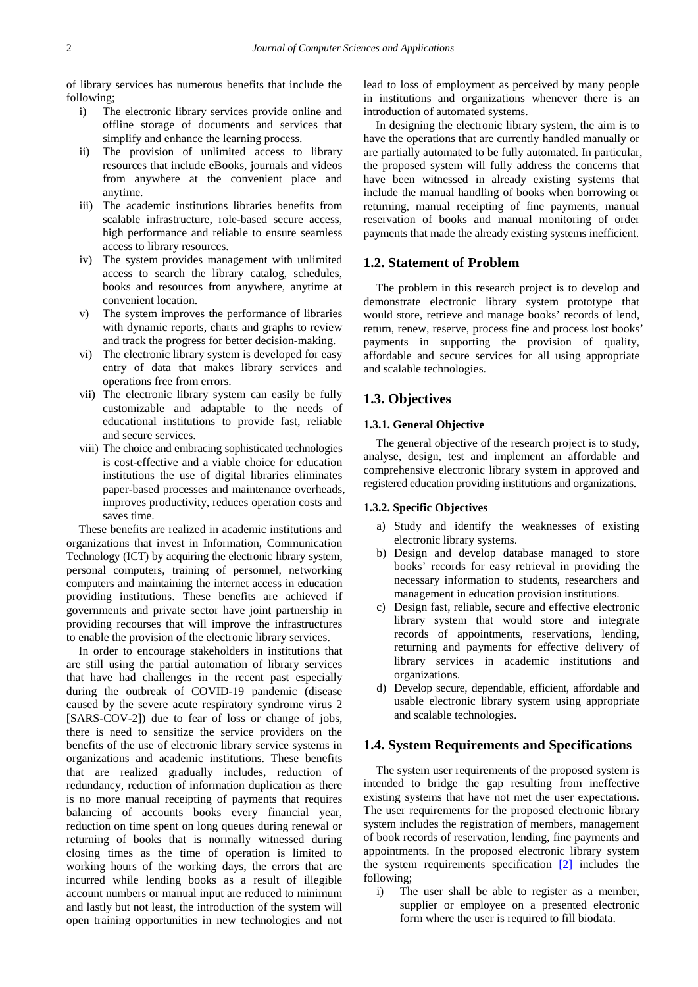of library services has numerous benefits that include the following;

- i) The electronic library services provide online and offline storage of documents and services that simplify and enhance the learning process.
- ii) The provision of unlimited access to library resources that include eBooks, journals and videos from anywhere at the convenient place and anytime.
- iii) The academic institutions libraries benefits from scalable infrastructure, role-based secure access, high performance and reliable to ensure seamless access to library resources.
- iv) The system provides management with unlimited access to search the library catalog, schedules, books and resources from anywhere, anytime at convenient location.
- v) The system improves the performance of libraries with dynamic reports, charts and graphs to review and track the progress for better decision-making.
- vi) The electronic library system is developed for easy entry of data that makes library services and operations free from errors.
- vii) The electronic library system can easily be fully customizable and adaptable to the needs of educational institutions to provide fast, reliable and secure services.
- viii) The choice and embracing sophisticated technologies is cost-effective and a viable choice for education institutions the use of digital libraries eliminates paper-based processes and maintenance overheads, improves productivity, reduces operation costs and saves time.

These benefits are realized in academic institutions and organizations that invest in Information, Communication Technology (ICT) by acquiring the electronic library system, personal computers, training of personnel, networking computers and maintaining the internet access in education providing institutions. These benefits are achieved if governments and private sector have joint partnership in providing recourses that will improve the infrastructures to enable the provision of the electronic library services.

In order to encourage stakeholders in institutions that are still using the partial automation of library services that have had challenges in the recent past especially during the outbreak of COVID-19 pandemic (disease caused by the severe acute respiratory syndrome virus 2 [SARS-COV-2]) due to fear of loss or change of jobs, there is need to sensitize the service providers on the benefits of the use of electronic library service systems in organizations and academic institutions. These benefits that are realized gradually includes, reduction of redundancy, reduction of information duplication as there is no more manual receipting of payments that requires balancing of accounts books every financial year, reduction on time spent on long queues during renewal or returning of books that is normally witnessed during closing times as the time of operation is limited to working hours of the working days, the errors that are incurred while lending books as a result of illegible account numbers or manual input are reduced to minimum and lastly but not least, the introduction of the system will open training opportunities in new technologies and not lead to loss of employment as perceived by many people in institutions and organizations whenever there is an introduction of automated systems.

In designing the electronic library system, the aim is to have the operations that are currently handled manually or are partially automated to be fully automated. In particular, the proposed system will fully address the concerns that have been witnessed in already existing systems that include the manual handling of books when borrowing or returning, manual receipting of fine payments, manual reservation of books and manual monitoring of order payments that made the already existing systems inefficient.

## **1.2. Statement of Problem**

The problem in this research project is to develop and demonstrate electronic library system prototype that would store, retrieve and manage books' records of lend, return, renew, reserve, process fine and process lost books' payments in supporting the provision of quality, affordable and secure services for all using appropriate and scalable technologies.

## **1.3. Objectives**

#### **1.3.1. General Objective**

The general objective of the research project is to study, analyse, design, test and implement an affordable and comprehensive electronic library system in approved and registered education providing institutions and organizations.

#### **1.3.2. Specific Objectives**

- a) Study and identify the weaknesses of existing electronic library systems.
- b) Design and develop database managed to store books' records for easy retrieval in providing the necessary information to students, researchers and management in education provision institutions.
- c) Design fast, reliable, secure and effective electronic library system that would store and integrate records of appointments, reservations, lending, returning and payments for effective delivery of library services in academic institutions and organizations.
- d) Develop secure, dependable, efficient, affordable and usable electronic library system using appropriate and scalable technologies.

## **1.4. System Requirements and Specifications**

The system user requirements of the proposed system is intended to bridge the gap resulting from ineffective existing systems that have not met the user expectations. The user requirements for the proposed electronic library system includes the registration of members, management of book records of reservation, lending, fine payments and appointments. In the proposed electronic library system the system requirements specification [\[2\]](#page-14-1) includes the following;

i) The user shall be able to register as a member, supplier or employee on a presented electronic form where the user is required to fill biodata.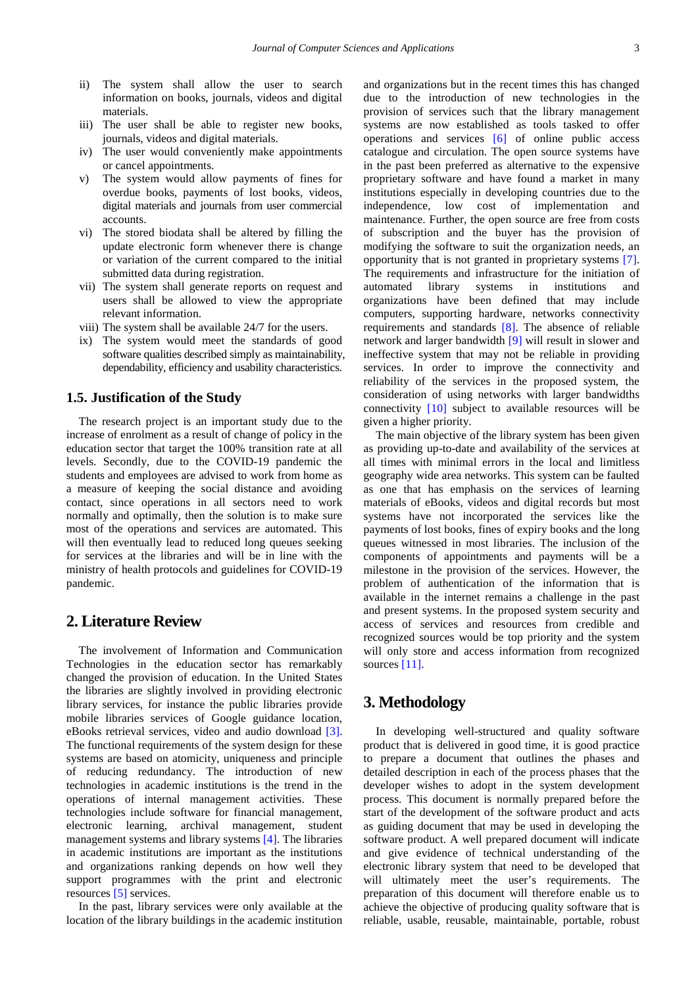- ii) The system shall allow the user to search information on books, journals, videos and digital materials.
- iii) The user shall be able to register new books, journals, videos and digital materials.
- iv) The user would conveniently make appointments or cancel appointments.
- v) The system would allow payments of fines for overdue books, payments of lost books, videos, digital materials and journals from user commercial accounts.
- vi) The stored biodata shall be altered by filling the update electronic form whenever there is change or variation of the current compared to the initial submitted data during registration.
- vii) The system shall generate reports on request and users shall be allowed to view the appropriate relevant information.
- viii) The system shall be available 24/7 for the users.
- ix) The system would meet the standards of good software qualities described simply as maintainability, dependability, efficiency and usability characteristics.

## **1.5. Justification of the Study**

The research project is an important study due to the increase of enrolment as a result of change of policy in the education sector that target the 100% transition rate at all levels. Secondly, due to the COVID-19 pandemic the students and employees are advised to work from home as a measure of keeping the social distance and avoiding contact, since operations in all sectors need to work normally and optimally, then the solution is to make sure most of the operations and services are automated. This will then eventually lead to reduced long queues seeking for services at the libraries and will be in line with the ministry of health protocols and guidelines for COVID-19 pandemic.

## **2. Literature Review**

The involvement of Information and Communication Technologies in the education sector has remarkably changed the provision of education. In the United States the libraries are slightly involved in providing electronic library services, for instance the public libraries provide mobile libraries services of Google guidance location, eBooks retrieval services, video and audio download [\[3\].](#page-14-2) The functional requirements of the system design for these systems are based on atomicity, uniqueness and principle of reducing redundancy. The introduction of new technologies in academic institutions is the trend in the operations of internal management activities. These technologies include software for financial management, electronic learning, archival management, student management systems and library systems [\[4\].](#page-14-3) The libraries in academic institutions are important as the institutions and organizations ranking depends on how well they support programmes with the print and electronic resources [\[5\]](#page-14-4) services.

In the past, library services were only available at the location of the library buildings in the academic institution and organizations but in the recent times this has changed due to the introduction of new technologies in the provision of services such that the library management systems are now established as tools tasked to offer operations and services [\[6\]](#page-14-5) of online public access catalogue and circulation. The open source systems have in the past been preferred as alternative to the expensive proprietary software and have found a market in many institutions especially in developing countries due to the independence, low cost of implementation and maintenance. Further, the open source are free from costs of subscription and the buyer has the provision of modifying the software to suit the organization needs, an opportunity that is not granted in proprietary systems [\[7\].](#page-14-6) The requirements and infrastructure for the initiation of automated library systems in institutions and organizations have been defined that may include computers, supporting hardware, networks connectivity requirements and standards [\[8\].](#page-14-7) The absence of reliable network and larger bandwidth [\[9\]](#page-14-8) will result in slower and ineffective system that may not be reliable in providing services. In order to improve the connectivity and reliability of the services in the proposed system, the consideration of using networks with larger bandwidths connectivity [\[10\]](#page-14-9) subject to available resources will be given a higher priority.

The main objective of the library system has been given as providing up-to-date and availability of the services at all times with minimal errors in the local and limitless geography wide area networks. This system can be faulted as one that has emphasis on the services of learning materials of eBooks, videos and digital records but most systems have not incorporated the services like the payments of lost books, fines of expiry books and the long queues witnessed in most libraries. The inclusion of the components of appointments and payments will be a milestone in the provision of the services. However, the problem of authentication of the information that is available in the internet remains a challenge in the past and present systems. In the proposed system security and access of services and resources from credible and recognized sources would be top priority and the system will only store and access information from recognized sources [\[11\].](#page-14-10)

## **3. Methodology**

In developing well-structured and quality software product that is delivered in good time, it is good practice to prepare a document that outlines the phases and detailed description in each of the process phases that the developer wishes to adopt in the system development process. This document is normally prepared before the start of the development of the software product and acts as guiding document that may be used in developing the software product. A well prepared document will indicate and give evidence of technical understanding of the electronic library system that need to be developed that will ultimately meet the user's requirements. The preparation of this document will therefore enable us to achieve the objective of producing quality software that is reliable, usable, reusable, maintainable, portable, robust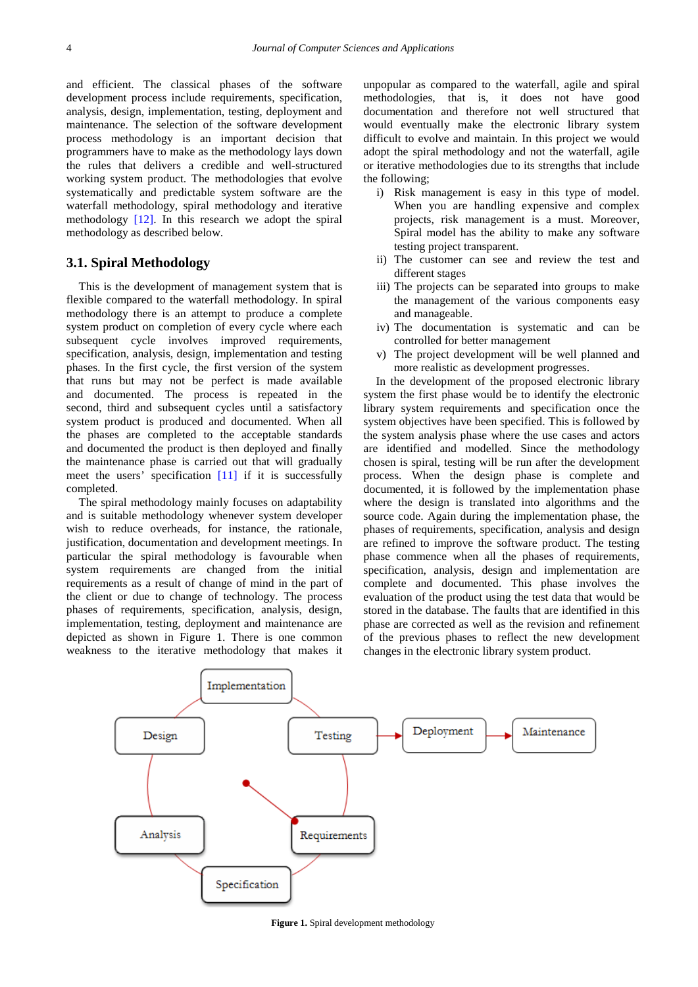and efficient. The classical phases of the software development process include requirements, specification, analysis, design, implementation, testing, deployment and maintenance. The selection of the software development process methodology is an important decision that programmers have to make as the methodology lays down the rules that delivers a credible and well-structured working system product. The methodologies that evolve systematically and predictable system software are the waterfall methodology, spiral methodology and iterative methodology [\[12\].](#page-14-11) In this research we adopt the spiral methodology as described below.

## **3.1. Spiral Methodology**

This is the development of management system that is flexible compared to the waterfall methodology. In spiral methodology there is an attempt to produce a complete system product on completion of every cycle where each subsequent cycle involves improved requirements, specification, analysis, design, implementation and testing phases. In the first cycle, the first version of the system that runs but may not be perfect is made available and documented. The process is repeated in the second, third and subsequent cycles until a satisfactory system product is produced and documented. When all the phases are completed to the acceptable standards and documented the product is then deployed and finally the maintenance phase is carried out that will gradually meet the users' specification [\[11\]](#page-14-10) if it is successfully completed.

The spiral methodology mainly focuses on adaptability and is suitable methodology whenever system developer wish to reduce overheads, for instance, the rationale, justification, documentation and development meetings. In particular the spiral methodology is favourable when system requirements are changed from the initial requirements as a result of change of mind in the part of the client or due to change of technology. The process phases of requirements, specification, analysis, design, implementation, testing, deployment and maintenance are depicted as shown in Figure 1. There is one common weakness to the iterative methodology that makes it unpopular as compared to the waterfall, agile and spiral methodologies, that is, it does not have good documentation and therefore not well structured that would eventually make the electronic library system difficult to evolve and maintain. In this project we would adopt the spiral methodology and not the waterfall, agile or iterative methodologies due to its strengths that include the following;

- i) Risk management is easy in this type of model. When you are handling expensive and complex projects, risk management is a must. Moreover, Spiral model has the ability to make any software testing project transparent.
- ii) The customer can see and review the test and different stages
- iii) The projects can be separated into groups to make the management of the various components easy and manageable.
- iv) The documentation is systematic and can be controlled for better management
- v) The project development will be well planned and more realistic as development progresses.

In the development of the proposed electronic library system the first phase would be to identify the electronic library system requirements and specification once the system objectives have been specified. This is followed by the system analysis phase where the use cases and actors are identified and modelled. Since the methodology chosen is spiral, testing will be run after the development process. When the design phase is complete and documented, it is followed by the implementation phase where the design is translated into algorithms and the source code. Again during the implementation phase, the phases of requirements, specification, analysis and design are refined to improve the software product. The testing phase commence when all the phases of requirements, specification, analysis, design and implementation are complete and documented. This phase involves the evaluation of the product using the test data that would be stored in the database. The faults that are identified in this phase are corrected as well as the revision and refinement of the previous phases to reflect the new development changes in the electronic library system product.



**Figure 1.** Spiral development methodology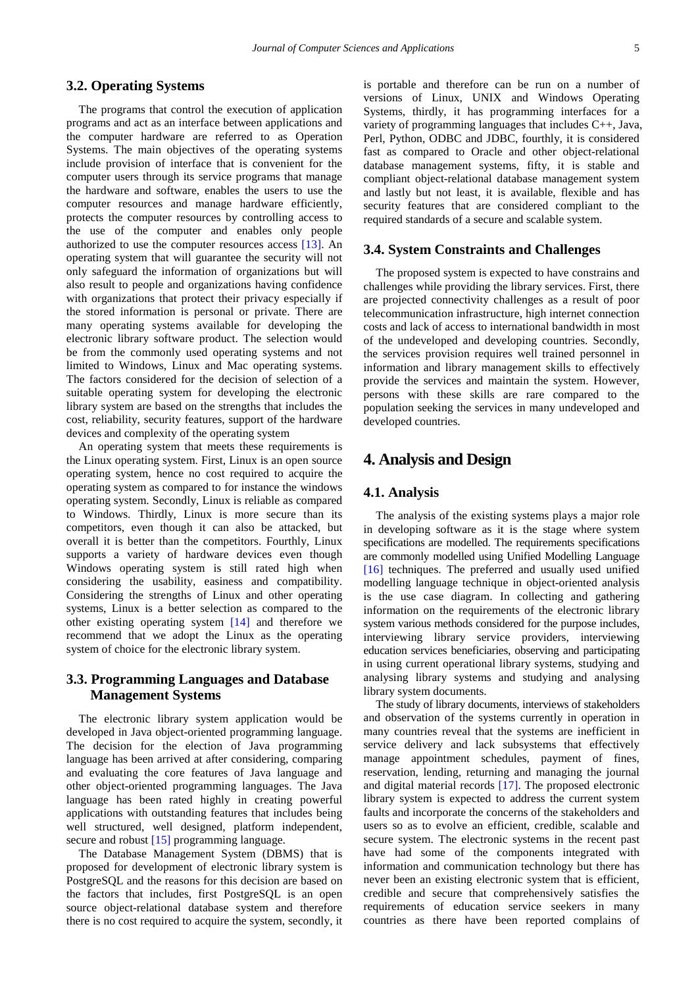## **3.2. Operating Systems**

The programs that control the execution of application programs and act as an interface between applications and the computer hardware are referred to as Operation Systems. The main objectives of the operating systems include provision of interface that is convenient for the computer users through its service programs that manage the hardware and software, enables the users to use the computer resources and manage hardware efficiently, protects the computer resources by controlling access to the use of the computer and enables only people authorized to use the computer resources access [\[13\].](#page-14-12) An operating system that will guarantee the security will not only safeguard the information of organizations but will also result to people and organizations having confidence with organizations that protect their privacy especially if the stored information is personal or private. There are many operating systems available for developing the electronic library software product. The selection would be from the commonly used operating systems and not limited to Windows, Linux and Mac operating systems. The factors considered for the decision of selection of a suitable operating system for developing the electronic library system are based on the strengths that includes the cost, reliability, security features, support of the hardware devices and complexity of the operating system

An operating system that meets these requirements is the Linux operating system. First, Linux is an open source operating system, hence no cost required to acquire the operating system as compared to for instance the windows operating system. Secondly, Linux is reliable as compared to Windows. Thirdly, Linux is more secure than its competitors, even though it can also be attacked, but overall it is better than the competitors. Fourthly, Linux supports a variety of hardware devices even though Windows operating system is still rated high when considering the usability, easiness and compatibility. Considering the strengths of Linux and other operating systems, Linux is a better selection as compared to the other existing operating system [\[14\]](#page-14-13) and therefore we recommend that we adopt the Linux as the operating system of choice for the electronic library system.

## **3.3. Programming Languages and Database Management Systems**

The electronic library system application would be developed in Java object-oriented programming language. The decision for the election of Java programming language has been arrived at after considering, comparing and evaluating the core features of Java language and other object-oriented programming languages. The Java language has been rated highly in creating powerful applications with outstanding features that includes being well structured, well designed, platform independent, secure and robust [\[15\]](#page-14-14) programming language.

The Database Management System (DBMS) that is proposed for development of electronic library system is PostgreSQL and the reasons for this decision are based on the factors that includes, first PostgreSQL is an open source object-relational database system and therefore there is no cost required to acquire the system, secondly, it is portable and therefore can be run on a number of versions of Linux, UNIX and Windows Operating Systems, thirdly, it has programming interfaces for a variety of programming languages that includes C++, Java, Perl, Python, ODBC and JDBC, fourthly, it is considered fast as compared to Oracle and other object-relational database management systems, fifty, it is stable and compliant object-relational database management system and lastly but not least, it is available, flexible and has security features that are considered compliant to the required standards of a secure and scalable system.

#### **3.4. System Constraints and Challenges**

The proposed system is expected to have constrains and challenges while providing the library services. First, there are projected connectivity challenges as a result of poor telecommunication infrastructure, high internet connection costs and lack of access to international bandwidth in most of the undeveloped and developing countries. Secondly, the services provision requires well trained personnel in information and library management skills to effectively provide the services and maintain the system. However, persons with these skills are rare compared to the population seeking the services in many undeveloped and developed countries.

## **4. Analysis and Design**

#### **4.1. Analysis**

The analysis of the existing systems plays a major role in developing software as it is the stage where system specifications are modelled. The requirements specifications are commonly modelled using Unified Modelling Language [\[16\]](#page-14-15) techniques. The preferred and usually used unified modelling language technique in object-oriented analysis is the use case diagram. In collecting and gathering information on the requirements of the electronic library system various methods considered for the purpose includes, interviewing library service providers, interviewing education services beneficiaries, observing and participating in using current operational library systems, studying and analysing library systems and studying and analysing library system documents.

The study of library documents, interviews of stakeholders and observation of the systems currently in operation in many countries reveal that the systems are inefficient in service delivery and lack subsystems that effectively manage appointment schedules, payment of fines, reservation, lending, returning and managing the journal and digital material records [\[17\].](#page-14-16) The proposed electronic library system is expected to address the current system faults and incorporate the concerns of the stakeholders and users so as to evolve an efficient, credible, scalable and secure system. The electronic systems in the recent past have had some of the components integrated with information and communication technology but there has never been an existing electronic system that is efficient, credible and secure that comprehensively satisfies the requirements of education service seekers in many countries as there have been reported complains of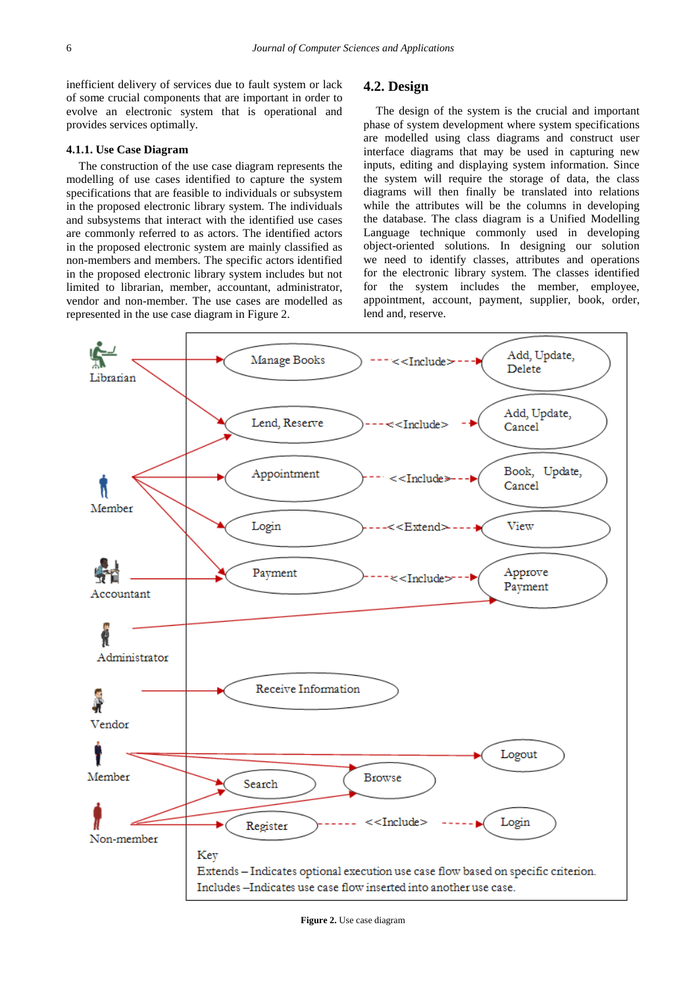inefficient delivery of services due to fault system or lack of some crucial components that are important in order to evolve an electronic system that is operational and provides services optimally.

## **4.1.1. Use Case Diagram**

The construction of the use case diagram represents the modelling of use cases identified to capture the system specifications that are feasible to individuals or subsystem in the proposed electronic library system. The individuals and subsystems that interact with the identified use cases are commonly referred to as actors. The identified actors in the proposed electronic system are mainly classified as non-members and members. The specific actors identified in the proposed electronic library system includes but not limited to librarian, member, accountant, administrator, vendor and non-member. The use cases are modelled as represented in the use case diagram in Figure 2.

## **4.2. Design**

The design of the system is the crucial and important phase of system development where system specifications are modelled using class diagrams and construct user interface diagrams that may be used in capturing new inputs, editing and displaying system information. Since the system will require the storage of data, the class diagrams will then finally be translated into relations while the attributes will be the columns in developing the database. The class diagram is a Unified Modelling Language technique commonly used in developing object-oriented solutions. In designing our solution we need to identify classes, attributes and operations for the electronic library system. The classes identified for the system includes the member, employee, appointment, account, payment, supplier, book, order, lend and, reserve.

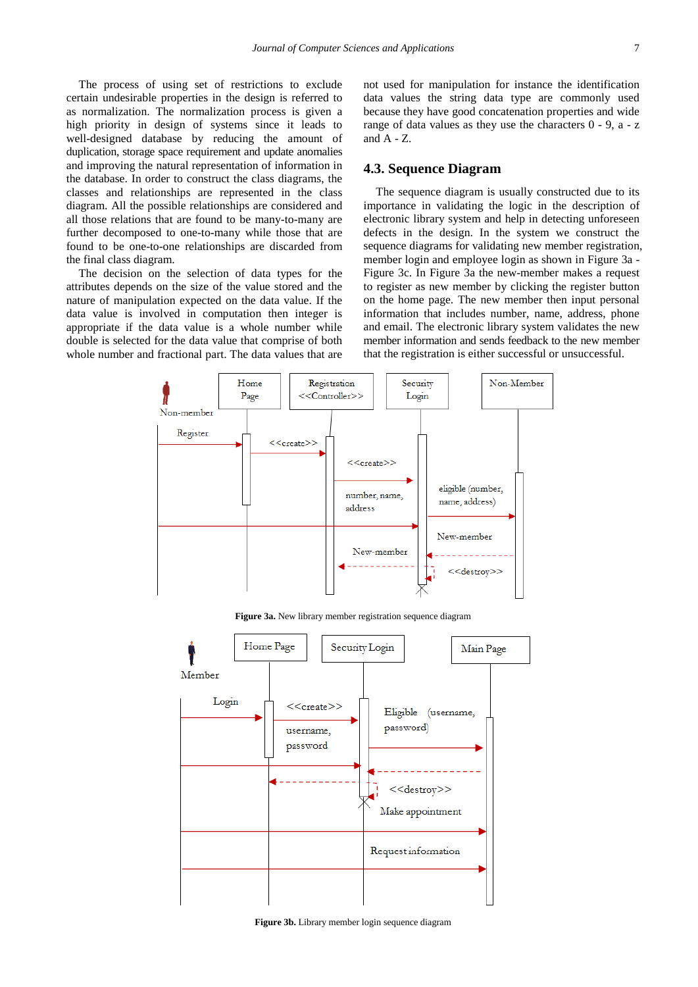The process of using set of restrictions to exclude certain undesirable properties in the design is referred to as normalization. The normalization process is given a high priority in design of systems since it leads to well-designed database by reducing the amount of duplication, storage space requirement and update anomalies and improving the natural representation of information in the database. In order to construct the class diagrams, the classes and relationships are represented in the class diagram. All the possible relationships are considered and all those relations that are found to be many-to-many are further decomposed to one-to-many while those that are found to be one-to-one relationships are discarded from the final class diagram.

The decision on the selection of data types for the attributes depends on the size of the value stored and the nature of manipulation expected on the data value. If the data value is involved in computation then integer is appropriate if the data value is a whole number while double is selected for the data value that comprise of both whole number and fractional part. The data values that are not used for manipulation for instance the identification data values the string data type are commonly used because they have good concatenation properties and wide range of data values as they use the characters 0 - 9, a - z and  $A - Z$ .

## **4.3. Sequence Diagram**

The sequence diagram is usually constructed due to its importance in validating the logic in the description of electronic library system and help in detecting unforeseen defects in the design. In the system we construct the sequence diagrams for validating new member registration, member login and employee login as shown in Figure 3a - Figure 3c. In Figure 3a the new-member makes a request to register as new member by clicking the register button on the home page. The new member then input personal information that includes number, name, address, phone and email. The electronic library system validates the new member information and sends feedback to the new member that the registration is either successful or unsuccessful.

![](_page_6_Figure_6.jpeg)

**Figure 3a.** New library member registration sequence diagram

![](_page_6_Figure_8.jpeg)

**Figure 3b.** Library member login sequence diagram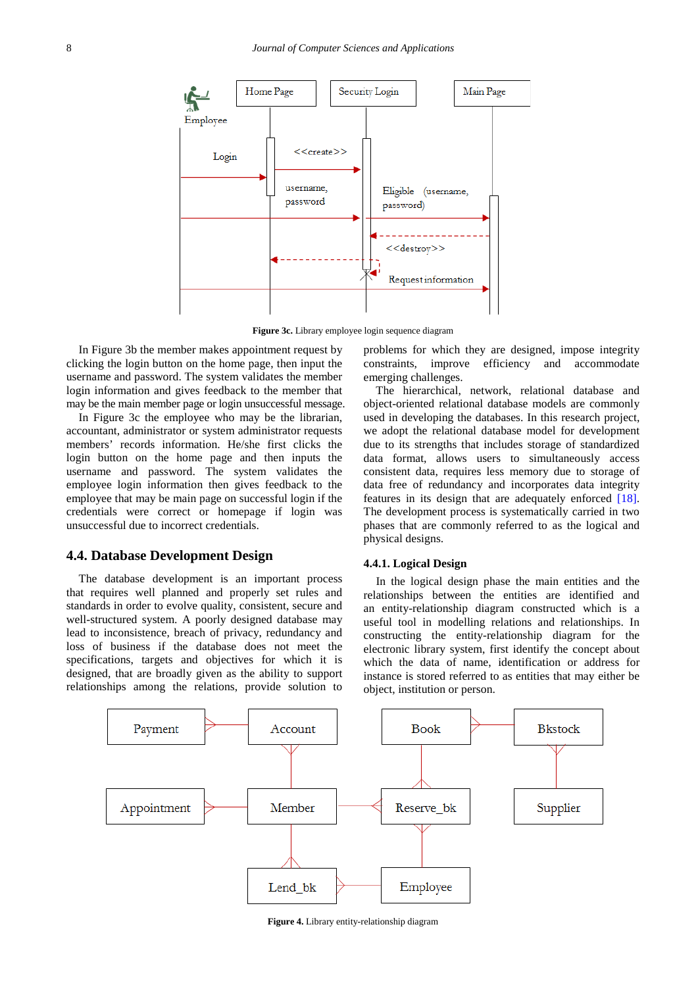![](_page_7_Figure_1.jpeg)

**Figure 3c.** Library employee login sequence diagram

In Figure 3b the member makes appointment request by clicking the login button on the home page, then input the username and password. The system validates the member login information and gives feedback to the member that may be the main member page or login unsuccessful message.

In Figure 3c the employee who may be the librarian, accountant, administrator or system administrator requests members' records information. He/she first clicks the login button on the home page and then inputs the username and password. The system validates the employee login information then gives feedback to the employee that may be main page on successful login if the credentials were correct or homepage if login was unsuccessful due to incorrect credentials.

#### **4.4. Database Development Design**

The database development is an important process that requires well planned and properly set rules and standards in order to evolve quality, consistent, secure and well-structured system. A poorly designed database may lead to inconsistence, breach of privacy, redundancy and loss of business if the database does not meet the specifications, targets and objectives for which it is designed, that are broadly given as the ability to support relationships among the relations, provide solution to

problems for which they are designed, impose integrity constraints, improve efficiency and accommodate emerging challenges.

The hierarchical, network, relational database and object-oriented relational database models are commonly used in developing the databases. In this research project, we adopt the relational database model for development due to its strengths that includes storage of standardized data format, allows users to simultaneously access consistent data, requires less memory due to storage of data free of redundancy and incorporates data integrity features in its design that are adequately enforced [\[18\].](#page-14-17) The development process is systematically carried in two phases that are commonly referred to as the logical and physical designs.

#### **4.4.1. Logical Design**

In the logical design phase the main entities and the relationships between the entities are identified and an entity-relationship diagram constructed which is a useful tool in modelling relations and relationships. In constructing the entity-relationship diagram for the electronic library system, first identify the concept about which the data of name, identification or address for instance is stored referred to as entities that may either be object, institution or person.

![](_page_7_Figure_11.jpeg)

**Figure 4.** Library entity-relationship diagram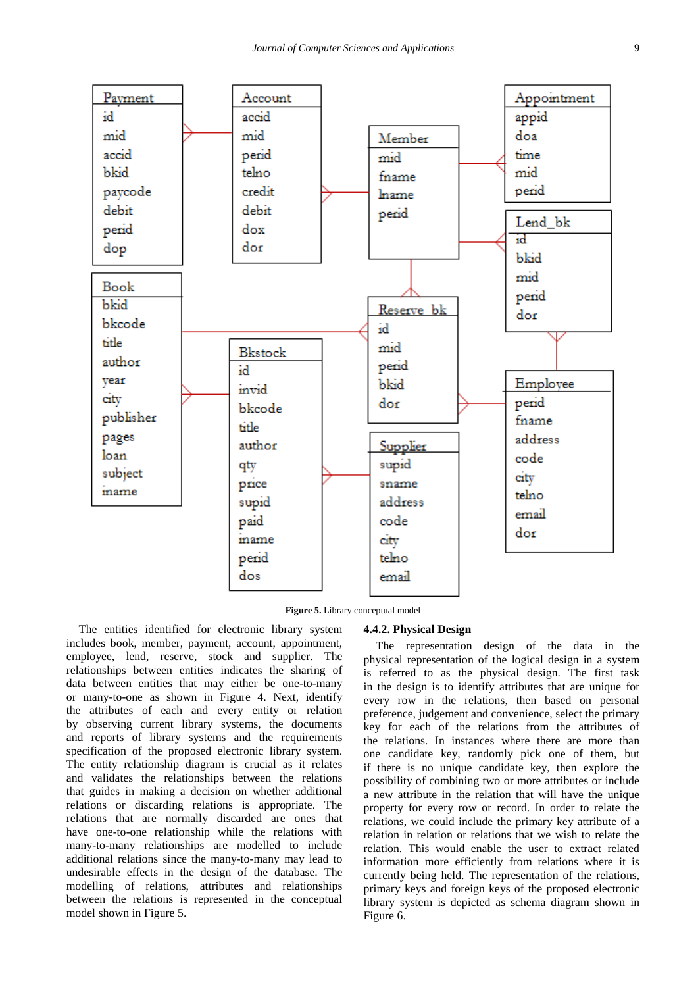![](_page_8_Figure_1.jpeg)

**Figure 5.** Library conceptual model

The entities identified for electronic library system includes book, member, payment, account, appointment, employee, lend, reserve, stock and supplier. The relationships between entities indicates the sharing of data between entities that may either be one-to-many or many-to-one as shown in Figure 4. Next, identify the attributes of each and every entity or relation by observing current library systems, the documents and reports of library systems and the requirements specification of the proposed electronic library system. The entity relationship diagram is crucial as it relates and validates the relationships between the relations that guides in making a decision on whether additional relations or discarding relations is appropriate. The relations that are normally discarded are ones that have one-to-one relationship while the relations with many-to-many relationships are modelled to include additional relations since the many-to-many may lead to undesirable effects in the design of the database. The modelling of relations, attributes and relationships between the relations is represented in the conceptual model shown in Figure 5.

#### **4.4.2. Physical Design**

The representation design of the data in the physical representation of the logical design in a system is referred to as the physical design. The first task in the design is to identify attributes that are unique for every row in the relations, then based on personal preference, judgement and convenience, select the primary key for each of the relations from the attributes of the relations. In instances where there are more than one candidate key, randomly pick one of them, but if there is no unique candidate key, then explore the possibility of combining two or more attributes or include a new attribute in the relation that will have the unique property for every row or record. In order to relate the relations, we could include the primary key attribute of a relation in relation or relations that we wish to relate the relation. This would enable the user to extract related information more efficiently from relations where it is currently being held. The representation of the relations, primary keys and foreign keys of the proposed electronic library system is depicted as schema diagram shown in Figure 6.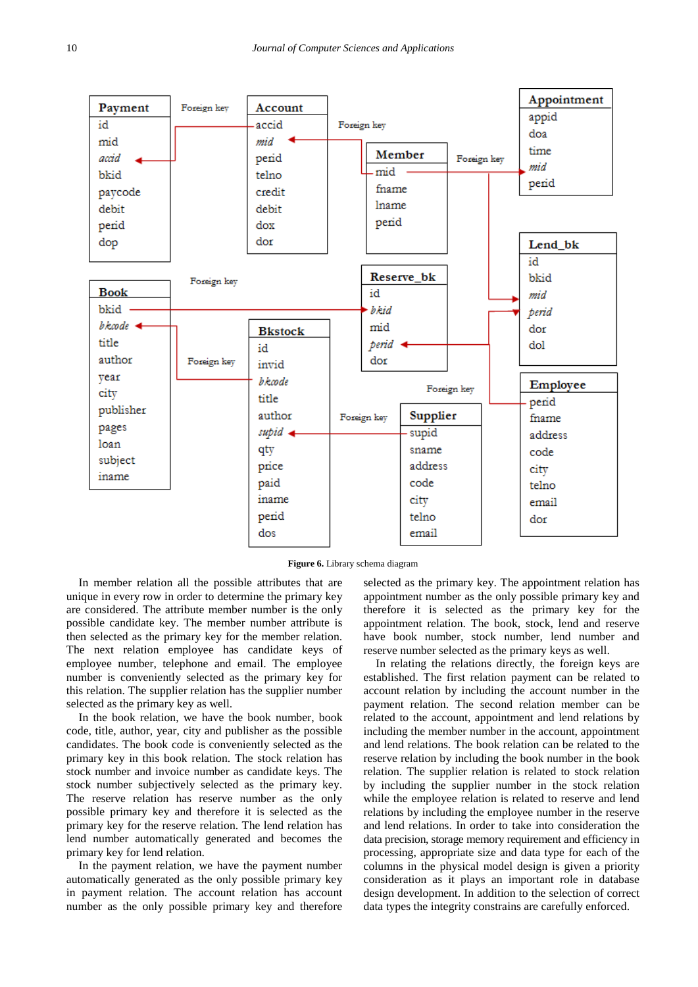![](_page_9_Figure_1.jpeg)

**Figure 6.** Library schema diagram

In member relation all the possible attributes that are unique in every row in order to determine the primary key are considered. The attribute member number is the only possible candidate key. The member number attribute is then selected as the primary key for the member relation. The next relation employee has candidate keys of employee number, telephone and email. The employee number is conveniently selected as the primary key for this relation. The supplier relation has the supplier number selected as the primary key as well.

In the book relation, we have the book number, book code, title, author, year, city and publisher as the possible candidates. The book code is conveniently selected as the primary key in this book relation. The stock relation has stock number and invoice number as candidate keys. The stock number subjectively selected as the primary key. The reserve relation has reserve number as the only possible primary key and therefore it is selected as the primary key for the reserve relation. The lend relation has lend number automatically generated and becomes the primary key for lend relation.

In the payment relation, we have the payment number automatically generated as the only possible primary key in payment relation. The account relation has account number as the only possible primary key and therefore

selected as the primary key. The appointment relation has appointment number as the only possible primary key and therefore it is selected as the primary key for the appointment relation. The book, stock, lend and reserve have book number, stock number, lend number and reserve number selected as the primary keys as well.

In relating the relations directly, the foreign keys are established. The first relation payment can be related to account relation by including the account number in the payment relation. The second relation member can be related to the account, appointment and lend relations by including the member number in the account, appointment and lend relations. The book relation can be related to the reserve relation by including the book number in the book relation. The supplier relation is related to stock relation by including the supplier number in the stock relation while the employee relation is related to reserve and lend relations by including the employee number in the reserve and lend relations. In order to take into consideration the data precision, storage memory requirement and efficiency in processing, appropriate size and data type for each of the columns in the physical model design is given a priority consideration as it plays an important role in database design development. In addition to the selection of correct data types the integrity constrains are carefully enforced.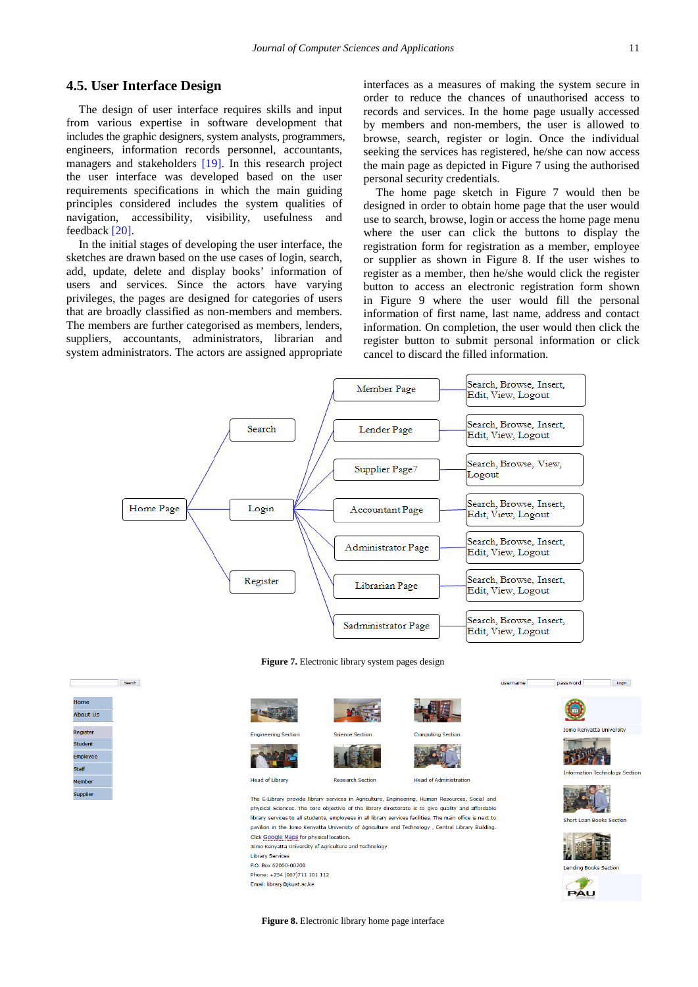## **4.5. User Interface Design**

Search

**Home** About Us

.<br>Register student<br>Student **Employe**  $C + \frac{1}{2}$ 

The design of user interface requires skills and input from various expertise in software development that includes the graphic designers, system analysts, programmers, engineers, information records personnel, accountants, managers and stakeholders [\[19\].](#page-14-18) In this research project the user interface was developed based on the user requirements specifications in which the main guiding principles considered includes the system qualities of navigation, accessibility, visibility, usefulness and feedback [\[20\].](#page-14-19)

In the initial stages of developing the user interface, the sketches are drawn based on the use cases of login, search, add, update, delete and display books' information of users and services. Since the actors have varying privileges, the pages are designed for categories of users that are broadly classified as non-members and members. The members are further categorised as members, lenders, suppliers, accountants, administrators, librarian and system administrators. The actors are assigned appropriate

interfaces as a measures of making the system secure in order to reduce the chances of unauthorised access to records and services. In the home page usually accessed by members and non-members, the user is allowed to browse, search, register or login. Once the individual seeking the services has registered, he/she can now access the main page as depicted in Figure 7 using the authorised personal security credentials.

The home page sketch in Figure 7 would then be designed in order to obtain home page that the user would use to search, browse, login or access the home page menu where the user can click the buttons to display the registration form for registration as a member, employee or supplier as shown in Figure 8. If the user wishes to register as a member, then he/she would click the register button to access an electronic registration form shown in Figure 9 where the user would fill the personal information of first name, last name, address and contact information. On completion, the user would then click the register button to submit personal information or click cancel to discard the filled information.

![](_page_10_Figure_6.jpeg)

**Figure 7.** Electronic library system pages design

![](_page_10_Picture_8.jpeg)

Jomo Kenvatta University of Agriculture and Technology **Library Services** P.O. Box 62000-00200 Phone: +254 (067)711 101 112 Email: library@ikuat ac ke

![](_page_10_Picture_10.jpeg)

 $username$ 

![](_page_10_Picture_11.jpeg)

![](_page_10_Picture_12.jpeg)

**Figure 8.** Electronic library home page interface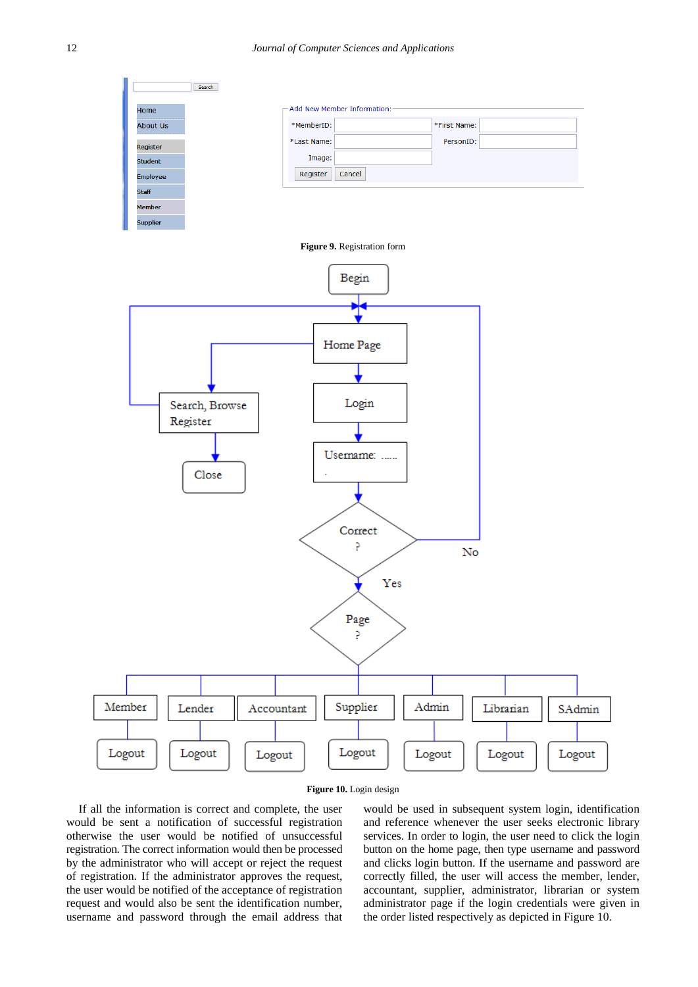![](_page_11_Figure_1.jpeg)

![](_page_11_Figure_2.jpeg)

If all the information is correct and complete, the user would be sent a notification of successful registration otherwise the user would be notified of unsuccessful registration. The correct information would then be processed by the administrator who will accept or reject the request of registration. If the administrator approves the request, the user would be notified of the acceptance of registration request and would also be sent the identification number, username and password through the email address that

would be used in subsequent system login, identification and reference whenever the user seeks electronic library services. In order to login, the user need to click the login button on the home page, then type username and password and clicks login button. If the username and password are correctly filled, the user will access the member, lender, accountant, supplier, administrator, librarian or system administrator page if the login credentials were given in the order listed respectively as depicted in Figure 10.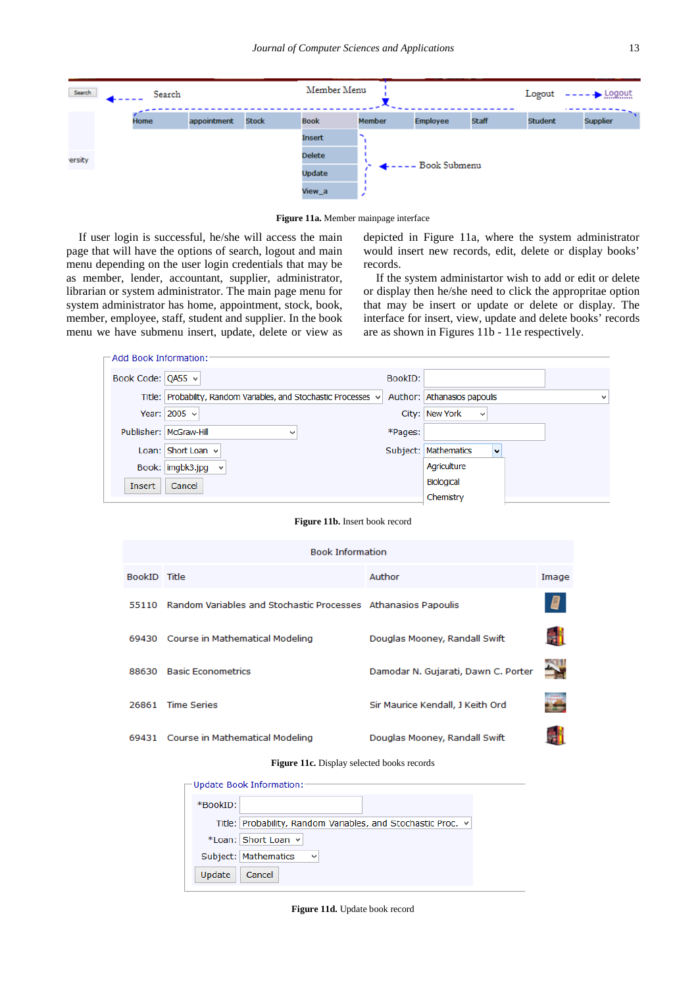![](_page_12_Picture_1.jpeg)

**Figure 11a.** Member mainpage interface

If user login is successful, he/she will access the main page that will have the options of search, logout and main menu depending on the user login credentials that may be as member, lender, accountant, supplier, administrator, librarian or system administrator. The main page menu for system administrator has home, appointment, stock, book, member, employee, staff, student and supplier. In the book menu we have submenu insert, update, delete or view as

depicted in Figure 11a, where the system administrator would insert new records, edit, delete or display books' records.

If the system administartor wish to add or edit or delete or display then he/she need to click the appropritae option that may be insert or update or delete or display. The interface for insert, view, update and delete books' records are as shown in Figures 11b - 11e respectively.

| $\sqsubset$ Add Book Information: |                                                                  |         |                             |   |
|-----------------------------------|------------------------------------------------------------------|---------|-----------------------------|---|
|                                   |                                                                  |         |                             |   |
| Book Code: QA55 v                 |                                                                  | BookID: |                             |   |
|                                   | Title: Probability, Random Variables, and Stochastic Processes v |         | Author: Athanasios papoulis | v |
|                                   | Year: $2005 \times$                                              |         | City: New York<br>٧         |   |
|                                   | Publisher: McGraw-Hill<br>$\checkmark$                           | *Pages: |                             |   |
|                                   | Loan: Short Loan $\vee$                                          |         | v<br>Subject: Mathematics   |   |
|                                   | Book: imgbk3.jpg<br>$\checkmark$                                 |         | Agriculture                 |   |
| Insert                            | Cancel                                                           |         | <b>Biological</b>           |   |
|                                   |                                                                  |         | Chemistry                   |   |

**Figure 11b.** Insert book record

| <b>Book Information</b> |                                                               |                                     |                                                              |  |  |  |  |  |
|-------------------------|---------------------------------------------------------------|-------------------------------------|--------------------------------------------------------------|--|--|--|--|--|
| BookID Title            |                                                               | Author                              | Image                                                        |  |  |  |  |  |
| 55110                   | Random Variables and Stochastic Processes Athanasios Papoulis |                                     | 9                                                            |  |  |  |  |  |
|                         | 69430 Course in Mathematical Modeling                         | Douglas Mooney, Randall Swift       |                                                              |  |  |  |  |  |
| 88630                   | <b>Basic Econometrics</b>                                     | Damodar N. Gujarati, Dawn C. Porter |                                                              |  |  |  |  |  |
| 26861                   | <b>Time Series</b>                                            | Sir Maurice Kendall, J Keith Ord    | <b>Jennie</b><br><b><i><u><u><b>DAMARELE</b></u></u></i></b> |  |  |  |  |  |
| 69431                   | Course in Mathematical Modeling                               | Douglas Mooney, Randall Swift       |                                                              |  |  |  |  |  |

**Figure 11c.** Display selected books records

|          | $\lnot$ Update Book Information: $\lnot$                     |
|----------|--------------------------------------------------------------|
|          |                                                              |
| *BookID: |                                                              |
|          | Title: Probability, Random Variables, and Stochastic Proc. v |
|          | *Loan: Short Loan v                                          |
|          | Subject: Mathematics<br>$\checkmark$                         |
| Update   | Cancel                                                       |

**Figure 11d.** Update book record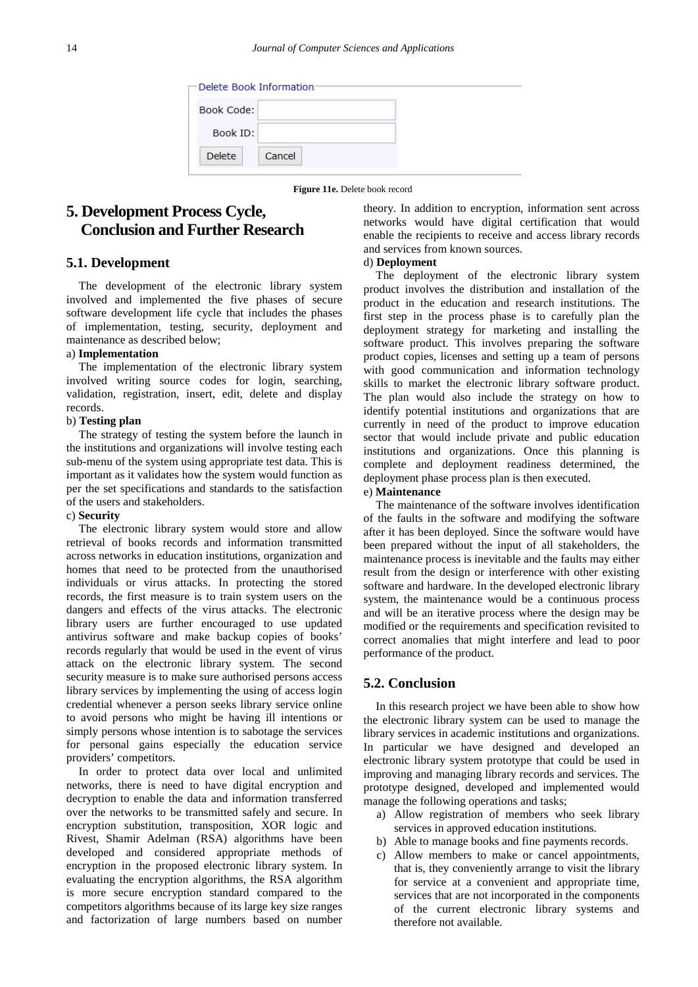| ← Delete Book Information |        |  |  |  |
|---------------------------|--------|--|--|--|
| <b>Book Code:</b>         |        |  |  |  |
| Book ID:                  |        |  |  |  |
| <b>Delete</b>             | Cancel |  |  |  |

**Figure 11e.** Delete book record

# **5. Development Process Cycle, Conclusion and Further Research**

#### **5.1. Development**

The development of the electronic library system involved and implemented the five phases of secure software development life cycle that includes the phases of implementation, testing, security, deployment and maintenance as described below;

#### a) **Implementation**

The implementation of the electronic library system involved writing source codes for login, searching, validation, registration, insert, edit, delete and display records.

#### b) **Testing plan**

The strategy of testing the system before the launch in the institutions and organizations will involve testing each sub-menu of the system using appropriate test data. This is important as it validates how the system would function as per the set specifications and standards to the satisfaction of the users and stakeholders.

#### c) **Security**

The electronic library system would store and allow retrieval of books records and information transmitted across networks in education institutions, organization and homes that need to be protected from the unauthorised individuals or virus attacks. In protecting the stored records, the first measure is to train system users on the dangers and effects of the virus attacks. The electronic library users are further encouraged to use updated antivirus software and make backup copies of books' records regularly that would be used in the event of virus attack on the electronic library system. The second security measure is to make sure authorised persons access library services by implementing the using of access login credential whenever a person seeks library service online to avoid persons who might be having ill intentions or simply persons whose intention is to sabotage the services for personal gains especially the education service providers' competitors.

In order to protect data over local and unlimited networks, there is need to have digital encryption and decryption to enable the data and information transferred over the networks to be transmitted safely and secure. In encryption substitution, transposition, XOR logic and Rivest, Shamir Adelman (RSA) algorithms have been developed and considered appropriate methods of encryption in the proposed electronic library system. In evaluating the encryption algorithms, the RSA algorithm is more secure encryption standard compared to the competitors algorithms because of its large key size ranges and factorization of large numbers based on number theory. In addition to encryption, information sent across networks would have digital certification that would enable the recipients to receive and access library records and services from known sources.

#### d) **Deployment**

The deployment of the electronic library system product involves the distribution and installation of the product in the education and research institutions. The first step in the process phase is to carefully plan the deployment strategy for marketing and installing the software product. This involves preparing the software product copies, licenses and setting up a team of persons with good communication and information technology skills to market the electronic library software product. The plan would also include the strategy on how to identify potential institutions and organizations that are currently in need of the product to improve education sector that would include private and public education institutions and organizations. Once this planning is complete and deployment readiness determined, the deployment phase process plan is then executed.

#### e) **Maintenance**

The maintenance of the software involves identification of the faults in the software and modifying the software after it has been deployed. Since the software would have been prepared without the input of all stakeholders, the maintenance process is inevitable and the faults may either result from the design or interference with other existing software and hardware. In the developed electronic library system, the maintenance would be a continuous process and will be an iterative process where the design may be modified or the requirements and specification revisited to correct anomalies that might interfere and lead to poor performance of the product.

## **5.2. Conclusion**

In this research project we have been able to show how the electronic library system can be used to manage the library services in academic institutions and organizations. In particular we have designed and developed an electronic library system prototype that could be used in improving and managing library records and services. The prototype designed, developed and implemented would manage the following operations and tasks;

- a) Allow registration of members who seek library services in approved education institutions.
- b) Able to manage books and fine payments records.
- c) Allow members to make or cancel appointments, that is, they conveniently arrange to visit the library for service at a convenient and appropriate time, services that are not incorporated in the components of the current electronic library systems and therefore not available.